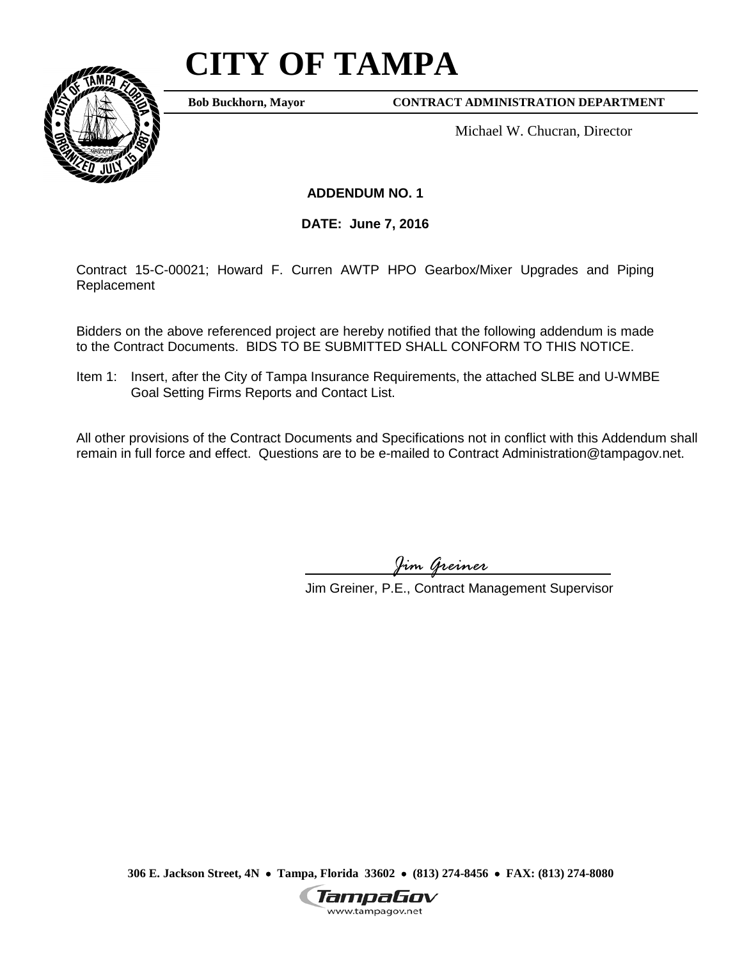# **CITY OF TAMPA**



**Bob Buckhorn, Mayor**

**CONTRACT ADMINISTRATION DEPARTMENT**

Michael W. Chucran, Director

**ADDENDUM NO. 1**

**DATE: June 7, 2016**

Contract 15-C-00021; Howard F. Curren AWTP HPO Gearbox/Mixer Upgrades and Piping Replacement

Bidders on the above referenced project are hereby notified that the following addendum is made to the Contract Documents. BIDS TO BE SUBMITTED SHALL CONFORM TO THIS NOTICE.

Item 1: Insert, after the City of Tampa Insurance Requirements, the attached SLBE and U-WMBE Goal Setting Firms Reports and Contact List.

All other provisions of the Contract Documents and Specifications not in conflict with this Addendum shall remain in full force and effect. Questions are to be e-mailed to Contract Administration@tampagov.net.

*Jim Greiner*

Jim Greiner, P.E., Contract Management Supervisor

**306 E. Jackson Street, 4N** • **Tampa, Florida 33602** • **(813) 274-8456** • **FAX: (813) 274-8080**

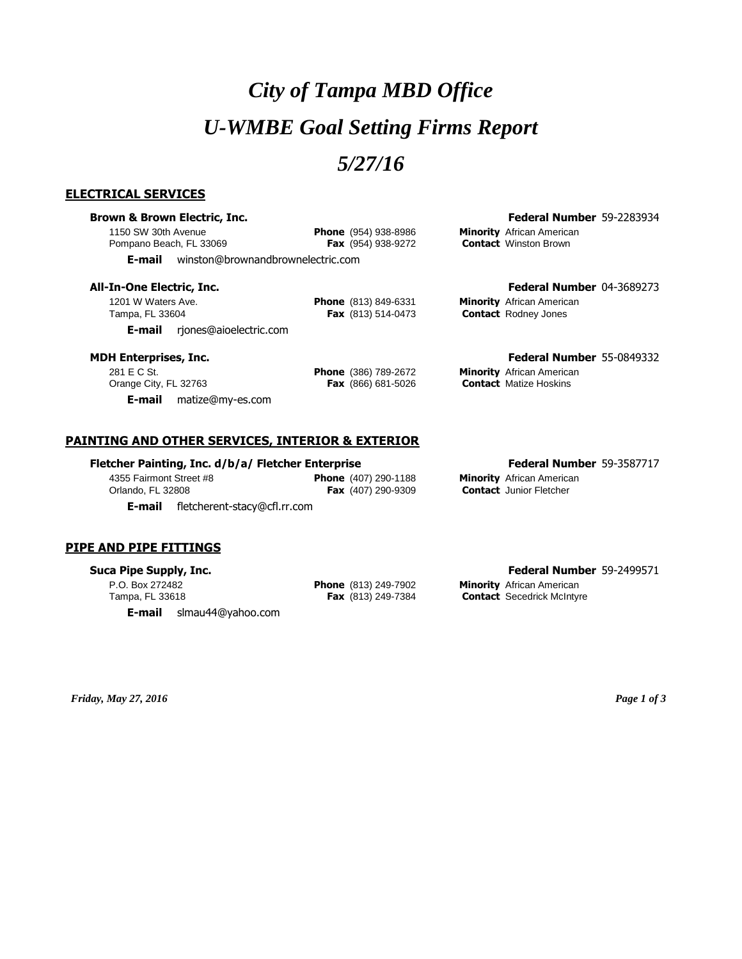# *City of Tampa MBD Office U-WMBE Goal Setting Firms Report*

## *5/27/16*

## **ELECTRICAL SERVICES**

## **Brown & Brown Electric, Inc. Federal Number** 59-2283934

1150 SW 30th Avenue **Phone** (954) 938-8986 **Minority** African American Pompano Beach, FL 33069

**E-mail** winston@brownandbrownelectric.com

1201 W Waters Ave. **Phone** (813) 849-6331 **Minority** African American **E-mail** rjones@aioelectric.com

## **All-In-One Electric, Inc. Federal Number** 04-3689273

**Contact** Rodney Jones

## **MDH Enterprises, Inc. Federal Number** 55-0849332

281 E C St. **Phone** (386) 789-2672 **Minority** African American Orange City, FL 32763 **Fax** (866) 681-5026 **Contact** Matize Hoskins

**E-mail** matize@my-es.com

## **PAINTING AND OTHER SERVICES, INTERIOR & EXTERIOR**

### **Fletcher Painting, Inc. d/b/a/ Fletcher Enterprise Federal Number** 59-3587717

4355 Fairmont Street #8 **Phone** (407) 290-1188 **Minority** African American **E-mail** fletcherent-stacy@cfl.rr.com

## **PIPE AND PIPE FITTINGS**

P.O. Box 272482 **Phone** (813) 249-7902 **Minority** African American

**E-mail** slmau44@yahoo.com

Fax (407) 290-9309 **Contact** Junior Fletcher

### **Suca Pipe Supply, Inc. Federal Number** 59-2499571

Tampa, FL 33618 **Fax** (813) 249-7384 **Contact** Secedrick McIntyre

*Friday, May 27, 2016 Page 1 of 3*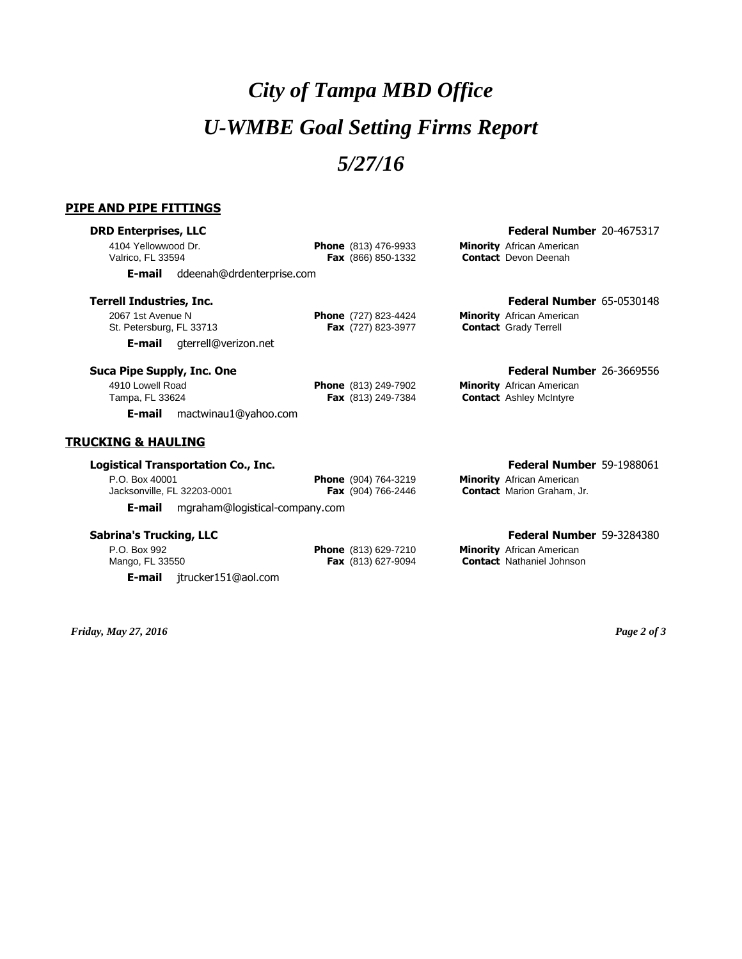# *City of Tampa MBD Office U-WMBE Goal Setting Firms Report 5/27/16*

## **PIPE AND PIPE FITTINGS**

## **DRD Enterprises, LLC Federal Number** 20-4675317

| 4104 Yellowwood Dr.<br>Valrico, FL 33594 |                           |    | <b>Phone</b> (813) 476-9933<br><b>Fax</b> (866) 850-1332 | <b>Minority</b> African American<br><b>Contact</b> Devon Deenah |
|------------------------------------------|---------------------------|----|----------------------------------------------------------|-----------------------------------------------------------------|
| E-mail                                   | ddeenah@drdenterprise.com |    |                                                          |                                                                 |
| Terrell Industries, Inc.                 |                           | -- |                                                          | <b>Federal Number 65-0530148</b>                                |

2067 1st Avenue N **Phone** (727) 823-4424 **Minority** African American St. Petersburg, FL 33713 **Fax** (727) 823-3977 **Contact** Grady Terrell **E-mail** gterrell@verizon.net

### **Suca Pipe Supply, Inc. One Federal Number** 26-3669556

4910 Lowell Road **Phone** (813) 249-7902 **Minority** African American Tampa, FL 33624 **Fax** (813) 249-7384 **Contact** Ashley McIntyre **E-mail** mactwinau1@yahoo.com

## **TRUCKING & HAULING**

### **Logistical Transportation Co., Inc. Federal Number** 59-1988061

P.O. Box 40001 **Phone** (904) 764-3219 **Minority** African American Jacksonville, FL 32203-0001 **Fax** (904) 766-2446 **Contact** Marion Graham, Jr. **E-mail** mgraham@logistical-company.com

P.O. Box 992 **Phone** (813) 629-7210 **Minority** African American Mango, FL 33550 **Fax** (813) 627-9094 **Contact** Nathaniel Johnson **E-mail** jtrucker151@aol.com

## **Sabrina's Trucking, LLC Federal Number** 59-3284380

*Friday, May 27, 2016 Page 2 of 3*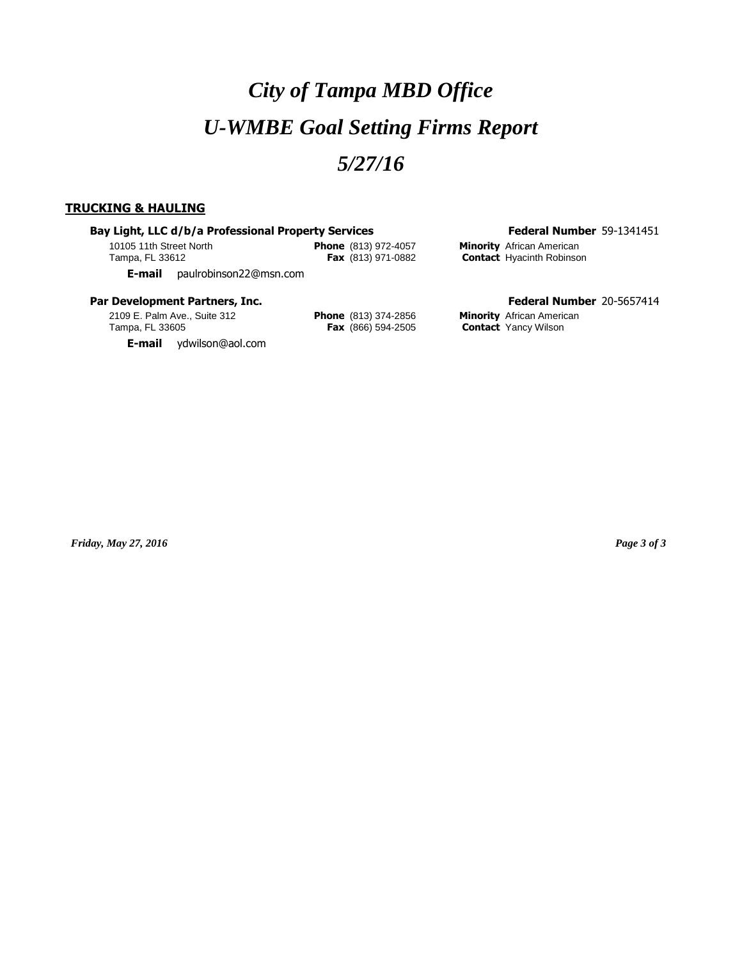# *City of Tampa MBD Office U-WMBE Goal Setting Firms Report 5/27/16*

## **TRUCKING & HAULING**

## **Bay Light, LLC d/b/a Professional Property Services Federal Number 59-1341451**

10105 11th Street North **Phone** (813) 972-4057 **Minority** African American

**Contact** Hyacinth Robinson

**E-mail** paulrobinson22@msn.com

## **Par Development Partners, Inc. Federal Number** 20-5657414

2109 E. Palm Ave., Suite 312 **Phone** (813) 374-2856 **Minority** African American Tampa, FL 33605 **Fax** (866) 594-2505 **Contact** Yancy Wilson

**E-mail** ydwilson@aol.com

*Friday, May 27, 2016 Page 3 of 3*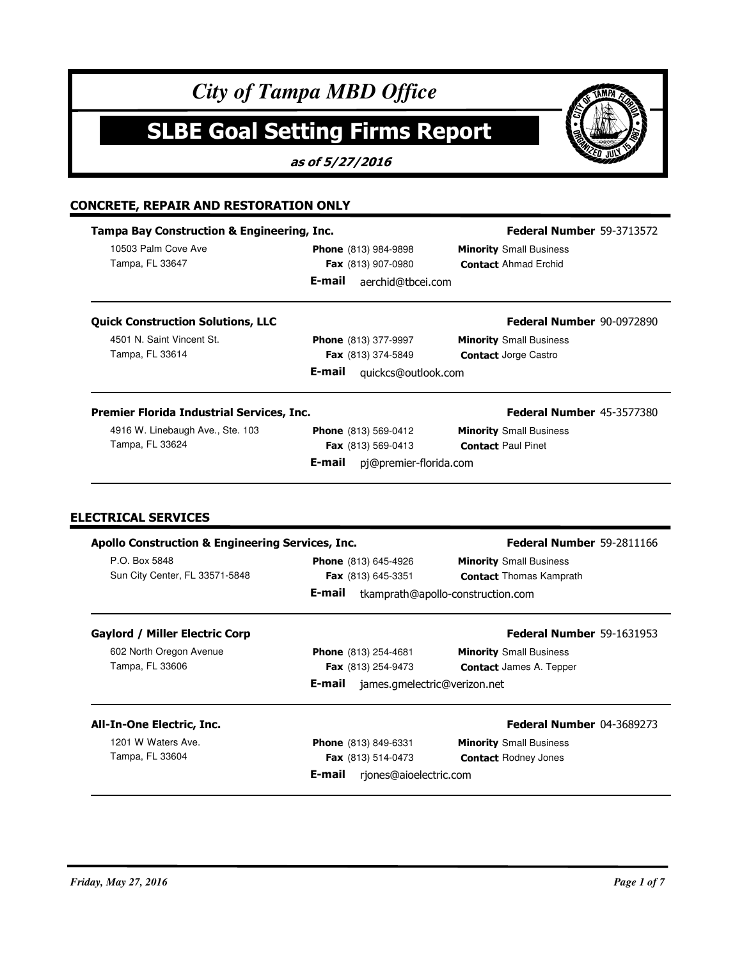## **SLBE Goal Setting Firms Report**

**as of 5/27/2016**

## **CONCRETE, REPAIR AND RESTORATION ONLY**

### **Tampa Bay Construction & Engineering, Inc.** 10503 Palm Cove Ave Tampa, FL 33647 Ahmad Erchid **Contact Minority** Small Business **Federal Number** 59-3713572 **Phone** (813) 984-9898 **Fax** (813) 907-0980 **E-mail** aerchid@tbcei.com **Quick Construction Solutions, LLC** 4501 N. Saint Vincent St. Tampa, FL 33614 Jorge Castro **Fax** (813) 374-5849 **Minority** Small Business **Contact Jorge Castro Federal Number** 90-0972890 **Phone** (813) 377-9997 **E-mail** quickcs@outlook.com **Premier Florida Industrial Services, Inc.** 4916 W. Linebaugh Ave., Ste. 103 Tampa, FL 33624 **Paul Pinet Baul Pinet Contact** Paul Pinet **Minority** Small Business **Federal Number** 45-3577380 **Phone** (813) 569-0412 **Fax** (813) 569-0413 **E-mail** pj@premier-florida.com

## **ELECTRICAL SERVICES**

| <b>Apollo Construction &amp; Engineering Services, Inc.</b> |                                        | Federal Number 59-2811166         |
|-------------------------------------------------------------|----------------------------------------|-----------------------------------|
| P.O. Box 5848                                               | <b>Phone</b> (813) 645-4926            | <b>Minority</b> Small Business    |
| Sun City Center, FL 33571-5848                              | Fax (813) 645-3351                     | <b>Contact Thomas Kamprath</b>    |
|                                                             | E-mail                                 | tkamprath@apollo-construction.com |
| <b>Gaylord / Miller Electric Corp</b>                       |                                        | <b>Federal Number 59-1631953</b>  |
| 602 North Oregon Avenue                                     | <b>Phone</b> (813) 254-4681            | <b>Minority</b> Small Business    |
| Tampa, FL 33606                                             | <b>Fax</b> $(813)$ 254-9473            | <b>Contact</b> James A. Tepper    |
|                                                             | E-mail<br>james.gmelectric@verizon.net |                                   |
| All-In-One Electric, Inc.                                   |                                        | <b>Federal Number 04-3689273</b>  |
| 1201 W Waters Ave.                                          | <b>Phone</b> (813) 849-6331            | <b>Minority</b> Small Business    |
| Tampa, FL 33604                                             | <b>Fax</b> (813) 514-0473              | <b>Contact Rodney Jones</b>       |
|                                                             | E-mail<br>rjones@aioelectric.com       |                                   |

**KWP**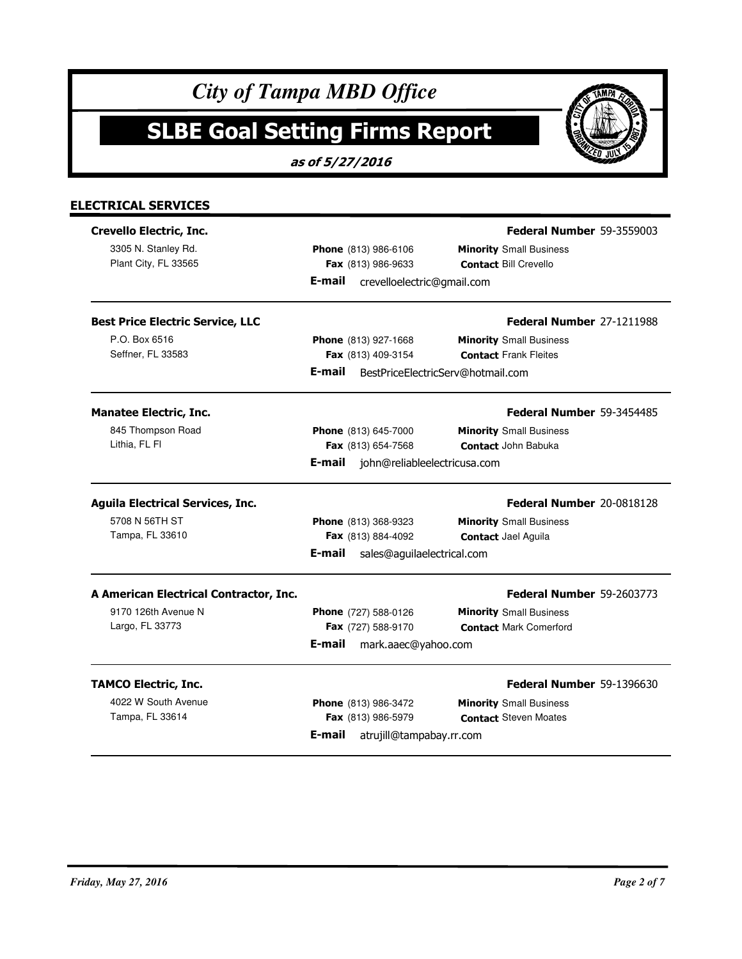|                                         | as of 5/27/2016                        |                                   |
|-----------------------------------------|----------------------------------------|-----------------------------------|
|                                         |                                        |                                   |
| <b>ELECTRICAL SERVICES</b>              |                                        |                                   |
| Crevello Electric, Inc.                 |                                        | <b>Federal Number 59-3559003</b>  |
| 3305 N. Stanley Rd.                     | Phone (813) 986-6106                   | <b>Minority</b> Small Business    |
| Plant City, FL 33565                    | Fax (813) 986-9633                     | <b>Contact Bill Crevello</b>      |
|                                         | E-mail<br>crevelloelectric@gmail.com   |                                   |
| <b>Best Price Electric Service, LLC</b> |                                        | Federal Number 27-1211988         |
| P.O. Box 6516                           | Phone (813) 927-1668                   | <b>Minority</b> Small Business    |
| Seffner, FL 33583                       | Fax (813) 409-3154                     | <b>Contact Frank Fleites</b>      |
|                                         | E-mail                                 | BestPriceElectricServ@hotmail.com |
| <b>Manatee Electric, Inc.</b>           |                                        | Federal Number 59-3454485         |
| 845 Thompson Road                       | <b>Phone</b> (813) 645-7000            | <b>Minority</b> Small Business    |
| Lithia, FL FI                           | Fax (813) 654-7568                     | <b>Contact John Babuka</b>        |
|                                         | E-mail<br>john@reliableelectricusa.com |                                   |
| <b>Aguila Electrical Services, Inc.</b> |                                        | Federal Number 20-0818128         |
| 5708 N 56TH ST                          | Phone (813) 368-9323                   | <b>Minority</b> Small Business    |
| Tampa, FL 33610                         | Fax (813) 884-4092                     | <b>Contact Jael Aguila</b>        |
|                                         | E-mail<br>sales@aguilaelectrical.com   |                                   |
| A American Electrical Contractor, Inc.  |                                        | <b>Federal Number 59-2603773</b>  |
| 9170 126th Avenue N                     | <b>Phone</b> (727) 588-0126            | <b>Minority</b> Small Business    |
| Largo, FL 33773                         | Fax (727) 588-9170                     | <b>Contact Mark Comerford</b>     |
|                                         | E-mail<br>mark.aaec@yahoo.com          |                                   |
| <b>TAMCO Electric, Inc.</b>             |                                        | Federal Number 59-1396630         |
| 4022 W South Avenue                     | Phone (813) 986-3472                   | <b>Minority</b> Small Business    |
| Tampa, FL 33614                         | Fax (813) 986-5979                     | <b>Contact</b> Steven Moates      |
|                                         | E-mail<br>atrujill@tampabay.rr.com     |                                   |

TAMPA FLO  $\overline{\mathbb{A}}$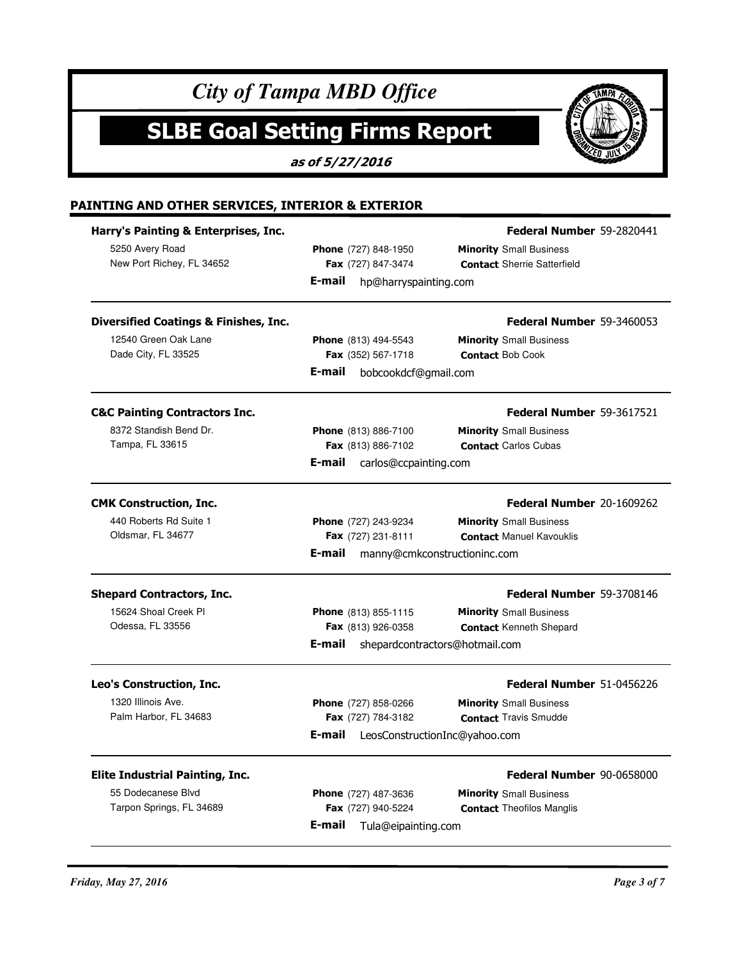|                                                  | as of 5/27/2016                 |                                    |
|--------------------------------------------------|---------------------------------|------------------------------------|
| PAINTING AND OTHER SERVICES, INTERIOR & EXTERIOR |                                 |                                    |
| Harry's Painting & Enterprises, Inc.             |                                 | Federal Number 59-2820441          |
| 5250 Avery Road                                  | Phone (727) 848-1950            | <b>Minority</b> Small Business     |
| New Port Richey, FL 34652                        | Fax (727) 847-3474              | <b>Contact Sherrie Satterfield</b> |
|                                                  | E-mail<br>hp@harryspainting.com |                                    |
| <b>Diversified Coatings &amp; Finishes, Inc.</b> |                                 | <b>Federal Number 59-3460053</b>   |
| 12540 Green Oak Lane                             | Phone (813) 494-5543            | <b>Minority</b> Small Business     |
| Dade City, FL 33525                              | Fax (352) 567-1718              | <b>Contact Bob Cook</b>            |
|                                                  | E-mail<br>bobcookdcf@gmail.com  |                                    |
| <b>C&amp;C Painting Contractors Inc.</b>         |                                 | <b>Federal Number 59-3617521</b>   |
| 8372 Standish Bend Dr.                           | Phone (813) 886-7100            | <b>Minority</b> Small Business     |
| Tampa, FL 33615                                  | Fax (813) 886-7102              | <b>Contact Carlos Cubas</b>        |
|                                                  | E-mail<br>carlos@ccpainting.com |                                    |
| <b>CMK Construction, Inc.</b>                    |                                 | Federal Number 20-1609262          |
| 440 Roberts Rd Suite 1                           | Phone (727) 243-9234            | <b>Minority</b> Small Business     |
| Oldsmar, FL 34677                                | Fax (727) 231-8111              | <b>Contact Manuel Kavouklis</b>    |
|                                                  | E-mail                          | manny@cmkconstructioninc.com       |
| <b>Shepard Contractors, Inc.</b>                 |                                 | <b>Federal Number 59-3708146</b>   |
| 15624 Shoal Creek PI                             | Phone (813) 855-1115            | <b>Minority</b> Small Business     |
| Odessa, FL 33556                                 | Fax (813) 926-0358              | <b>Contact Kenneth Shepard</b>     |
|                                                  | E-mail                          | shepardcontractors@hotmail.com     |
| Leo's Construction, Inc.                         |                                 | Federal Number 51-0456226          |
| 1320 Illinois Ave.                               | Phone (727) 858-0266            | <b>Minority</b> Small Business     |
| Palm Harbor, FL 34683                            | Fax (727) 784-3182              | <b>Contact Travis Smudde</b>       |
|                                                  | E-mail                          | LeosConstructionInc@yahoo.com      |
| <b>Elite Industrial Painting, Inc.</b>           |                                 | Federal Number 90-0658000          |
| 55 Dodecanese Blvd                               | Phone (727) 487-3636            | <b>Minority</b> Small Business     |
| Tarpon Springs, FL 34689                         | Fax (727) 940-5224              | <b>Contact Theofilos Manglis</b>   |
|                                                  | E-mail<br>Tula@eipainting.com   |                                    |

## *Friday, May 27, 2016 Page 3 of 7*

TAMPA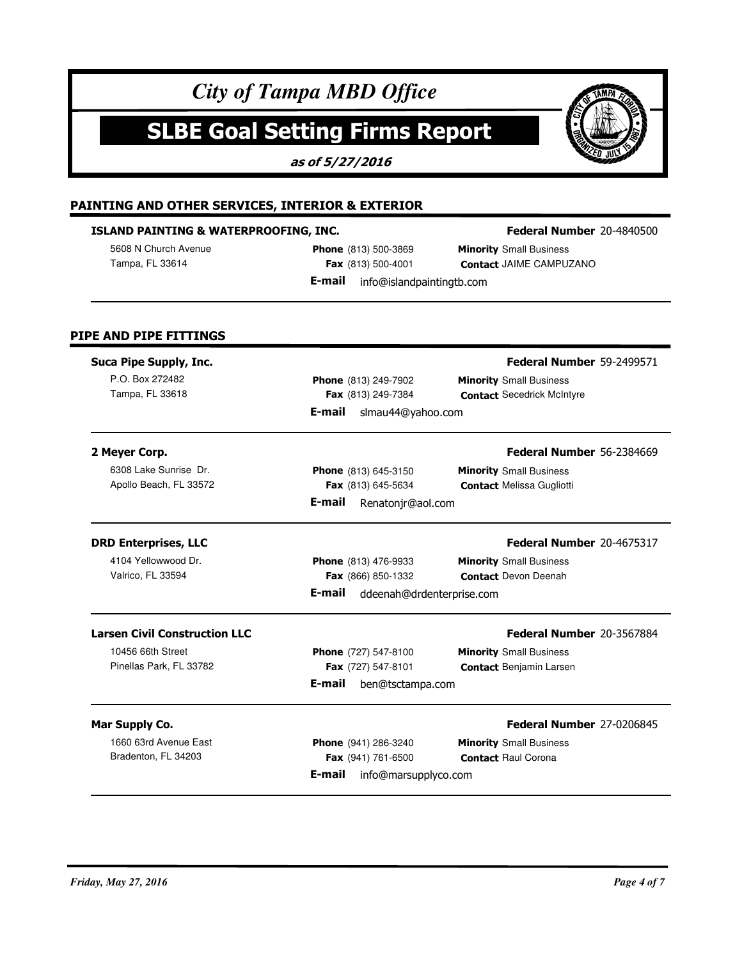# **SLBE Goal Setting Firms Report**

**as of 5/27/2016**



## **ISLAND PAINTING & WATERPROOFING, INC.**

5608 N Church Avenue

**Phone** (813) 500-3869 **Fax** (813) 500-4001 **E-mail** info@islandpaintingtb.com

## **Federal Number** 20-4840500

**MP** 

Tampa, FL 33614 **Fax** (813) 500-4001 **Contact** JAIME CAMPUZANO **Minority** Small Business

## **PIPE AND PIPE FITTINGS**

| Suca Pipe Supply, Inc.               |                                     | Federal Number 59-2499571         |
|--------------------------------------|-------------------------------------|-----------------------------------|
| P.O. Box 272482                      | <b>Phone</b> (813) 249-7902         | <b>Minority</b> Small Business    |
| Tampa, FL 33618                      | Fax (813) 249-7384                  | <b>Contact Secedrick McIntyre</b> |
|                                      | E-mail<br>slmau44@yahoo.com         |                                   |
| 2 Meyer Corp.                        |                                     | Federal Number 56-2384669         |
| 6308 Lake Sunrise Dr.                | <b>Phone</b> (813) 645-3150         | <b>Minority</b> Small Business    |
| Apollo Beach, FL 33572               | Fax (813) 645-5634                  | <b>Contact Melissa Gugliotti</b>  |
|                                      | E-mail<br>Renatonjr@aol.com         |                                   |
| <b>DRD Enterprises, LLC</b>          |                                     | Federal Number 20-4675317         |
| 4104 Yellowwood Dr.                  | Phone (813) 476-9933                | <b>Minority</b> Small Business    |
| Valrico, FL 33594                    | Fax (866) 850-1332                  | <b>Contact Devon Deenah</b>       |
|                                      | E-mail<br>ddeenah@drdenterprise.com |                                   |
| <b>Larsen Civil Construction LLC</b> |                                     | Federal Number 20-3567884         |
| 10456 66th Street                    | Phone (727) 547-8100                | <b>Minority</b> Small Business    |
| Pinellas Park, FL 33782              | Fax (727) 547-8101                  | <b>Contact Benjamin Larsen</b>    |
|                                      | E-mail<br>ben@tsctampa.com          |                                   |
| Mar Supply Co.                       |                                     | Federal Number 27-0206845         |

1660 63rd Avenue East

Bradenton, FL 34203 **Fax** (941) 761-6500 **Contact** Raul Corona **Phone** (941) 286-3240 **Fax** (941) 761-6500 **E-mail** info@marsupplyco.com

**Minority** Small Business

## *Friday, May 27, 2016 Page 4 of 7*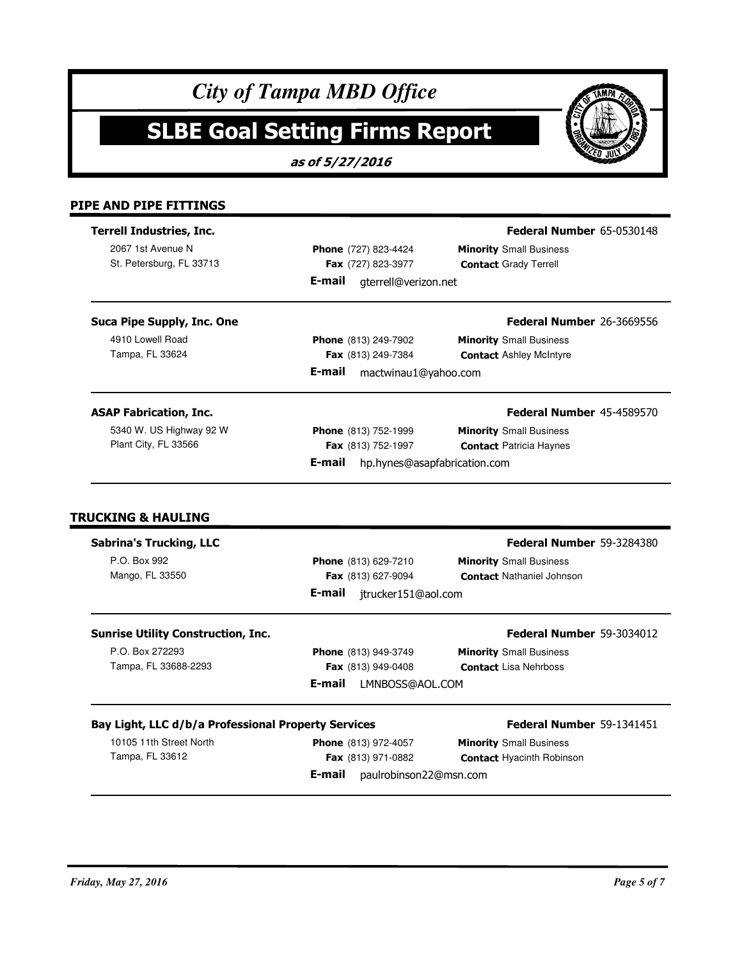# **SLBE Goal Setting Firms Report**

**as of 5/27/2016**

## **PIPE AND PIPE FITTINGS**

| <b>Terrell Industries, Inc.</b>                     |                                                     | Federal Number 65-0530148                                                                                             |
|-----------------------------------------------------|-----------------------------------------------------|-----------------------------------------------------------------------------------------------------------------------|
| 2067 1st Avenue N                                   | Phone (727) 823-4424                                | <b>Minority</b> Small Business                                                                                        |
| St. Petersburg, FL 33713                            | Fax (727) 823-3977                                  | <b>Contact Grady Terrell</b>                                                                                          |
|                                                     | E-mail<br>gterrell@verizon.net                      |                                                                                                                       |
| Suca Pipe Supply, Inc. One                          |                                                     | Federal Number 26-3669556                                                                                             |
| 4910 Lowell Road                                    | Phone (813) 249-7902                                | <b>Minority</b> Small Business                                                                                        |
| Tampa, FL 33624                                     | Fax (813) 249-7384                                  | <b>Contact Ashley McIntyre</b>                                                                                        |
|                                                     | E-mail<br>mactwinau1@yahoo.com                      |                                                                                                                       |
| <b>ASAP Fabrication, Inc.</b>                       |                                                     | Federal Number 45-4589570                                                                                             |
| 5340 W. US Highway 92 W                             | Phone (813) 752-1999                                | <b>Minority</b> Small Business                                                                                        |
| Plant City, FL 33566                                | Fax (813) 752-1997                                  | <b>Contact Patricia Haynes</b>                                                                                        |
|                                                     | E-mail                                              | hp.hynes@asapfabrication.com                                                                                          |
| <b>TRUCKING &amp; HAULING</b>                       |                                                     |                                                                                                                       |
| <b>Sabrina's Trucking, LLC</b><br>P.O. Box 992      | Phone (813) 629-7210                                | <b>Minority</b> Small Business                                                                                        |
| Mango, FL 33550                                     | Fax (813) 627-9094<br>E-mail<br>jtrucker151@aol.com | <b>Contact Nathaniel Johnson</b>                                                                                      |
| <b>Sunrise Utility Construction, Inc.</b>           |                                                     |                                                                                                                       |
| P.O. Box 272293                                     | Phone (813) 949-3749                                | <b>Minority</b> Small Business                                                                                        |
| Tampa, FL 33688-2293                                | Fax (813) 949-0408                                  | <b>Contact Lisa Nehrboss</b>                                                                                          |
|                                                     | E-mail<br>LMNBOSS@AOL.COM                           |                                                                                                                       |
| Bay Light, LLC d/b/a Professional Property Services |                                                     |                                                                                                                       |
| 10105 11th Street North                             | Phone (813) 972-4057                                | Federal Number 59-3284380<br>Federal Number 59-3034012<br>Federal Number 59-1341451<br><b>Minority</b> Small Business |
| Tampa, FL 33612                                     | Fax (813) 971-0882                                  | <b>Contact Hyacinth Robinson</b>                                                                                      |

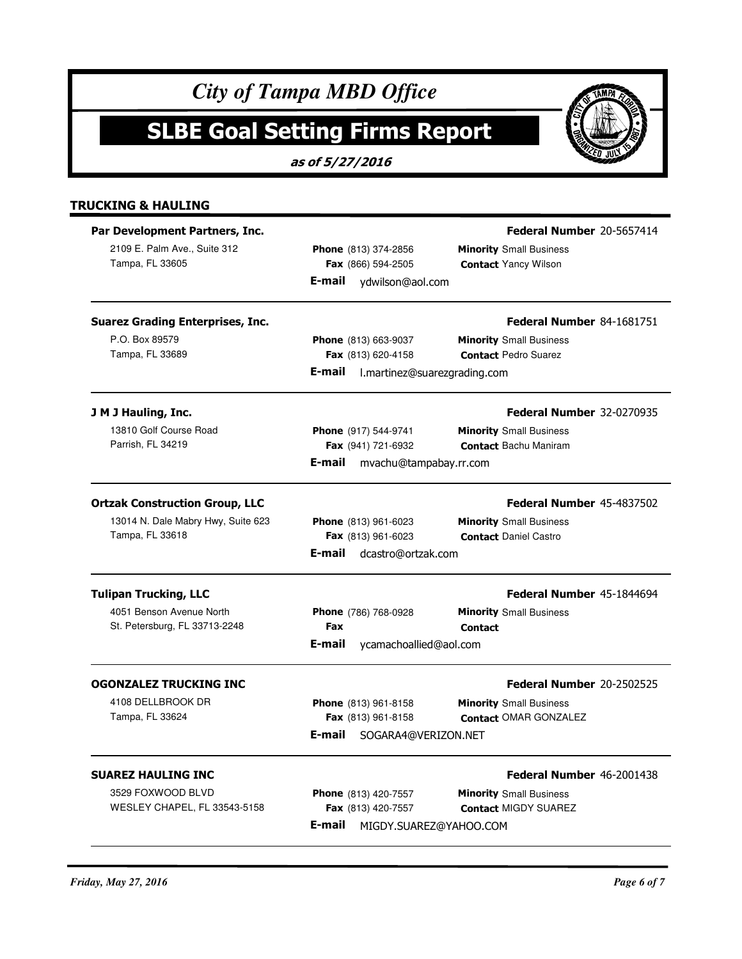|                                                                                                | <b>SLBE Goal Setting Firms Report</b><br>as of 5/27/2016                              |                                                                                                    |
|------------------------------------------------------------------------------------------------|---------------------------------------------------------------------------------------|----------------------------------------------------------------------------------------------------|
| <b>TRUCKING &amp; HAULING</b>                                                                  |                                                                                       |                                                                                                    |
| Par Development Partners, Inc.<br>2109 E. Palm Ave., Suite 312<br>Tampa, FL 33605              | Phone (813) 374-2856<br>Fax (866) 594-2505<br>ydwilson@aol.com<br>E-mail              | Federal Number 20-5657414<br><b>Minority</b> Small Business<br><b>Contact Yancy Wilson</b>         |
| <b>Suarez Grading Enterprises, Inc.</b><br>P.O. Box 89579<br>Tampa, FL 33689                   | Phone (813) 663-9037<br>Fax (813) 620-4158<br>E-mail<br>l.martinez@suarezgrading.com  | Federal Number 84-1681751<br><b>Minority</b> Small Business<br><b>Contact Pedro Suarez</b>         |
| J M J Hauling, Inc.<br>13810 Golf Course Road<br>Parrish, FL 34219                             | Phone (917) 544-9741<br>Fax (941) 721-6932<br>E-mail<br>mvachu@tampabay.rr.com        | <b>Federal Number 32-0270935</b><br><b>Minority</b> Small Business<br><b>Contact Bachu Maniram</b> |
| <b>Ortzak Construction Group, LLC</b><br>13014 N. Dale Mabry Hwy, Suite 623<br>Tampa, FL 33618 | Phone (813) 961-6023<br>Fax (813) 961-6023<br>E-mail<br>dcastro@ortzak.com            | Federal Number 45-4837502<br><b>Minority</b> Small Business<br><b>Contact Daniel Castro</b>        |
| <b>Tulipan Trucking, LLC</b><br>4051 Benson Avenue North<br>St. Petersburg, FL 33713-2248      | Phone (786) 768-0928<br>Fax<br>E-mail<br>ycamachoallied@aol.com                       | Federal Number 45-1844694<br><b>Minority</b> Small Business<br><b>Contact</b>                      |
| <b>OGONZALEZ TRUCKING INC</b><br>4108 DELLBROOK DR<br>Tampa, FL 33624                          | Phone (813) 961-8158<br>Fax (813) 961-8158<br>E-mail<br>SOGARA4@VERIZON.NET           | Federal Number 20-2502525<br><b>Minority</b> Small Business<br><b>Contact OMAR GONZALEZ</b>        |
| <b>SUAREZ HAULING INC</b><br>3529 FOXWOOD BLVD<br>WESLEY CHAPEL, FL 33543-5158                 | <b>Phone</b> (813) 420-7557<br>Fax (813) 420-7557<br>E-mail<br>MIGDY.SUAREZ@YAHOO.COM | Federal Number 46-2001438<br><b>Minority</b> Small Business<br><b>Contact MIGDY SUAREZ</b>         |

OF TAMPA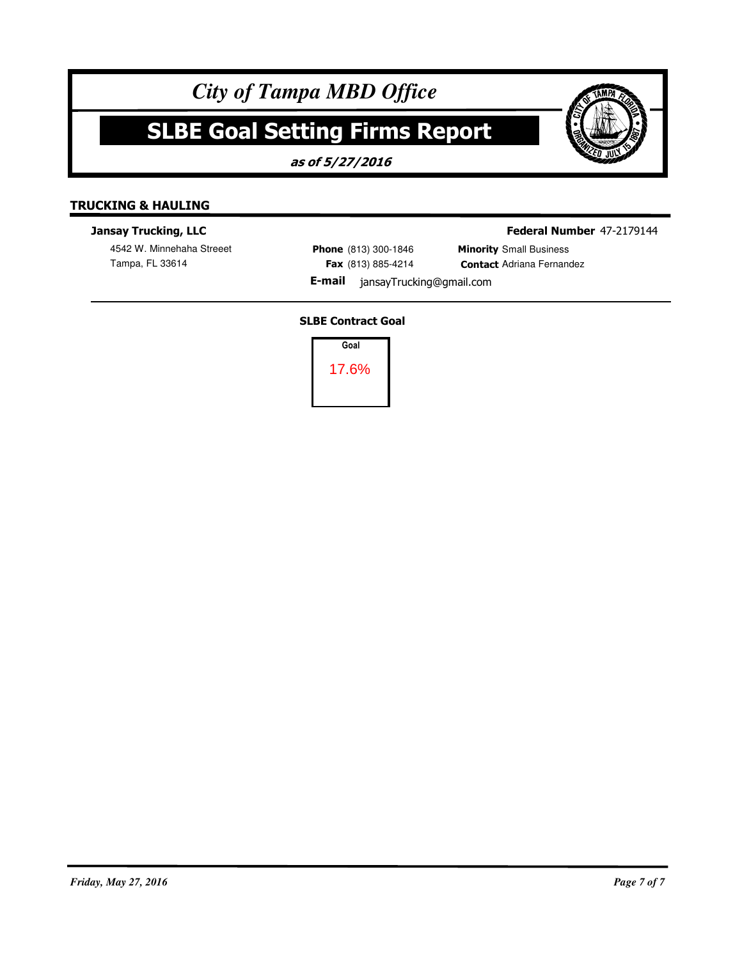# **SLBE Goal Setting Firms Report**

**as of 5/27/2016**



## **Jansay Trucking, LLC**

4542 W. Minnehaha Streeet

**Phone** (813) 300-1846 **Fax** (813) 885-4214 **Federal Number** 47-2179144

Tampa, FL 33614 **Adri**ana Fernandez **Fax** (813) 885-4214 **Contact** Adriana Fernandez **Minority** Small Business

**E-mail** jansayTrucking@gmail.com

## **SLBE Contract Goal**

**Goal** 17.6%

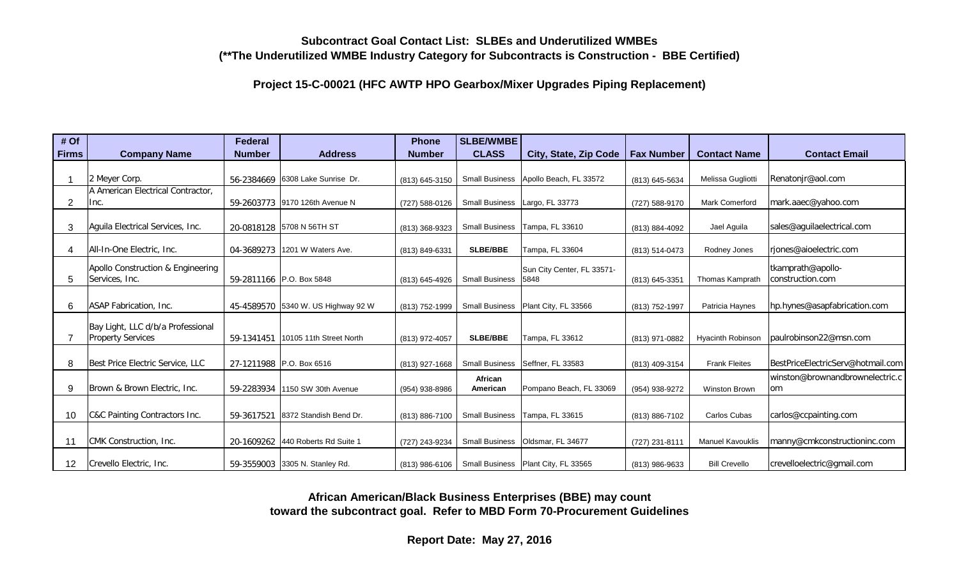**Project 15-C-00021 (HFC AWTP HPO Gearbox/Mixer Upgrades Piping Replacement)**

| # Of         |                                   | <b>Federal</b> |                                      | <b>Phone</b>     | SLBE/WMBE             |                                         |                   |                          |                                   |
|--------------|-----------------------------------|----------------|--------------------------------------|------------------|-----------------------|-----------------------------------------|-------------------|--------------------------|-----------------------------------|
| <b>Firms</b> | <b>Company Name</b>               | <b>Number</b>  | <b>Address</b>                       | <b>Number</b>    | <b>CLASS</b>          | City, State, Zip Code                   | <b>Fax Number</b> | <b>Contact Name</b>      | <b>Contact Email</b>              |
|              |                                   |                |                                      |                  |                       |                                         |                   |                          |                                   |
|              | 2 Meyer Corp.                     |                | 56-2384669 6308 Lake Sunrise Dr.     | (813) 645-3150   |                       | Small Business   Apollo Beach, FL 33572 | (813) 645-5634    | Melissa Gugliotti        | Renatonir@aol.com                 |
|              | A American Electrical Contractor, |                |                                      |                  |                       |                                         |                   |                          |                                   |
| 2            | Inc.                              |                | 59-2603773 9170 126th Avenue N       | (727) 588-0126   | <b>Small Business</b> | Largo, FL 33773                         | (727) 588-9170    | Mark Comerford           | mark.aaec@yahoo.com               |
|              |                                   |                |                                      |                  |                       |                                         |                   |                          |                                   |
| 3            | Aguila Electrical Services, Inc.  |                | 20-0818128 5708 N 56TH ST            | (813) 368-9323   | <b>Small Business</b> | Tampa, FL 33610                         | (813) 884-4092    | Jael Aguila              | sales@aguilaelectrical.com        |
|              |                                   |                |                                      |                  |                       |                                         |                   |                          |                                   |
| 4            | All-In-One Electric, Inc.         |                | 04-3689273 1201 W Waters Ave.        | (813) 849-6331   | <b>SLBE/BBE</b>       | Tampa, FL 33604                         | (813) 514-0473    | Rodney Jones             | rjones@aioelectric.com            |
|              | Apollo Construction & Engineering |                |                                      |                  |                       | Sun City Center, FL 33571-              |                   |                          | tkamprath@apollo-                 |
| 5            | Services, Inc.                    |                | 59-2811166 P.O. Box 5848             | (813) 645-4926   | <b>Small Business</b> | 5848                                    | (813) 645-3351    | <b>Thomas Kamprath</b>   | construction.com                  |
|              |                                   |                |                                      |                  |                       |                                         |                   |                          |                                   |
| 6            | ASAP Fabrication, Inc.            |                | 45-4589570 5340 W. US Highway 92 W   | (813) 752-1999   | <b>Small Business</b> | Plant City, FL 33566                    | (813) 752-1997    | Patricia Haynes          | hp.hynes@asapfabrication.com      |
|              |                                   |                |                                      |                  |                       |                                         |                   |                          |                                   |
|              | Bay Light, LLC d/b/a Professional |                |                                      |                  |                       |                                         |                   |                          |                                   |
|              | <b>Property Services</b>          |                | 59-1341451   10105 11th Street North | (813) 972-4057   | <b>SLBE/BBE</b>       | Tampa, FL 33612                         | (813) 971-0882    | <b>Hyacinth Robinson</b> | paulrobinson22@msn.com            |
|              |                                   |                |                                      |                  |                       |                                         |                   |                          |                                   |
| 8            | Best Price Electric Service, LLC  |                | 27-1211988 P.O. Box 6516             | (813) 927-1668   |                       | Small Business   Seffner, FL 33583      | (813) 409-3154    | <b>Frank Fleites</b>     | BestPriceElectricServ@hotmail.com |
|              |                                   |                |                                      |                  | African               |                                         |                   |                          | winston@brownandbrownelectric.c   |
| 9            | Brown & Brown Electric, Inc.      |                | 59-2283934 1150 SW 30th Avenue       | (954) 938-8986   | American              | Pompano Beach, FL 33069                 | (954) 938-9272    | <b>Winston Brown</b>     | om                                |
|              |                                   |                |                                      |                  |                       |                                         |                   |                          |                                   |
| 10           | C&C Painting Contractors Inc.     |                | 59-3617521 8372 Standish Bend Dr.    | (813) 886-7100   | <b>Small Business</b> | Tampa, FL 33615                         | (813) 886-7102    | Carlos Cubas             | carlos@ccpainting.com             |
|              |                                   |                |                                      |                  |                       |                                         |                   |                          |                                   |
| 11           | CMK Construction, Inc.            |                | 20-1609262 440 Roberts Rd Suite 1    | (727) 243-9234   | <b>Small Business</b> | Oldsmar, FL 34677                       | (727) 231-8111    | <b>Manuel Kavouklis</b>  | manny@cmkconstructioninc.com      |
|              |                                   |                |                                      |                  |                       |                                         |                   |                          |                                   |
| 12           | Crevello Electric, Inc.           |                | 59-3559003 3305 N. Stanley Rd.       | $(813)$ 986-6106 |                       | Small Business   Plant City, FL 33565   | (813) 986-9633    | <b>Bill Crevello</b>     | crevelloelectric@gmail.com        |

**African American/Black Business Enterprises (BBE) may count toward the subcontract goal. Refer to MBD Form 70-Procurement Guidelines**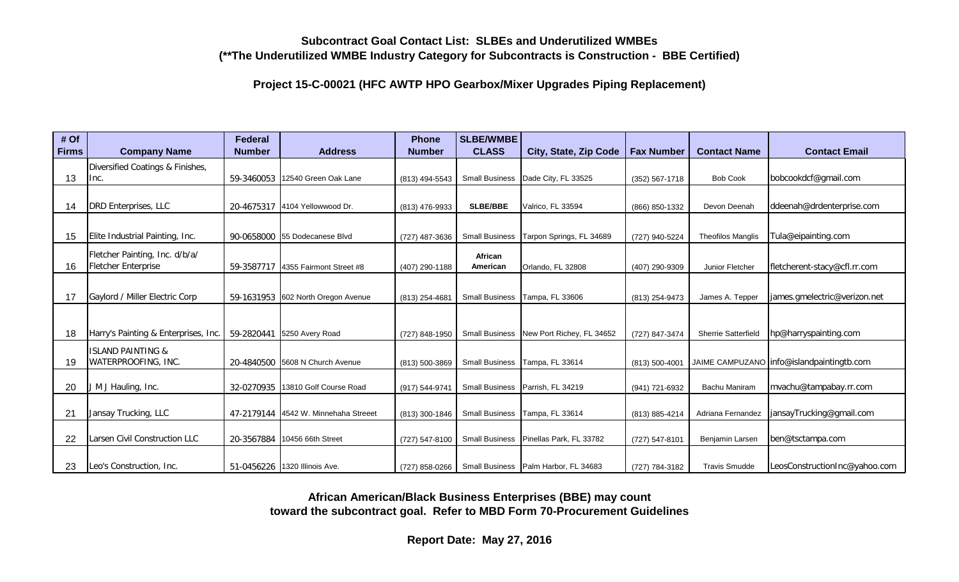**Project 15-C-00021 (HFC AWTP HPO Gearbox/Mixer Upgrades Piping Replacement)**

| # Of         |                                      | <b>Federal</b> |                                      | <b>Phone</b>   | SLBE/WMBE             |                                        |                   |                            |                                             |
|--------------|--------------------------------------|----------------|--------------------------------------|----------------|-----------------------|----------------------------------------|-------------------|----------------------------|---------------------------------------------|
| <b>Firms</b> | <b>Company Name</b>                  | <b>Number</b>  | <b>Address</b>                       | <b>Number</b>  | <b>CLASS</b>          | City, State, Zip Code                  | <b>Fax Number</b> | <b>Contact Name</b>        | <b>Contact Email</b>                        |
|              | Diversified Coatings & Finishes,     |                |                                      |                |                       |                                        |                   |                            |                                             |
| 13           | Inc.                                 | 59-3460053     | 12540 Green Oak Lane                 | (813) 494-5543 | <b>Small Business</b> | Dade City, FL 33525                    | (352) 567-1718    | <b>Bob Cook</b>            | bobcookdcf@gmail.com                        |
|              |                                      |                |                                      |                |                       |                                        |                   |                            |                                             |
| 14           | DRD Enterprises, LLC                 |                | 20-4675317   4104 Yellowwood Dr.     | (813) 476-9933 | <b>SLBE/BBE</b>       | Valrico, FL 33594                      | (866) 850-1332    | Devon Deenah               | ddeenah@drdenterprise.com                   |
|              |                                      |                |                                      |                |                       |                                        |                   |                            |                                             |
| 15           | Elite Industrial Painting, Inc.      |                | 90-0658000 55 Dodecanese Blvd        | (727) 487-3636 | <b>Small Business</b> | Tarpon Springs, FL 34689               | (727) 940-5224    | <b>Theofilos Manglis</b>   | Tula@eipainting.com                         |
|              | Fletcher Painting, Inc. d/b/a/       |                |                                      |                | African               |                                        |                   |                            |                                             |
| 16           | Fletcher Enterprise                  |                | 59-3587717 4355 Fairmont Street #8   | (407) 290-1188 | American              | Orlando, FL 32808                      | (407) 290-9309    | Junior Fletcher            | fletcherent-stacy@cfl.rr.com                |
|              |                                      |                |                                      |                |                       |                                        |                   |                            |                                             |
| 17           | Gaylord / Miller Electric Corp       |                | 59-1631953 602 North Oregon Avenue   | (813) 254-4681 | <b>Small Business</b> | Tampa, FL 33606                        | (813) 254-9473    | James A. Tepper            | james.gmelectric@verizon.net                |
|              |                                      |                |                                      |                |                       |                                        |                   |                            |                                             |
|              |                                      |                |                                      |                |                       |                                        |                   |                            |                                             |
| 18           | Harry's Painting & Enterprises, Inc. |                | 59-2820441 5250 Avery Road           | (727) 848-1950 | <b>Small Business</b> | New Port Richey, FL 34652              | (727) 847-3474    | <b>Sherrie Satterfield</b> | hp@harryspainting.com                       |
|              | <b>ISLAND PAINTING &amp;</b>         |                |                                      |                |                       |                                        |                   |                            |                                             |
| 19           | WATERPROOFING, INC.                  |                | 20-4840500 5608 N Church Avenue      | (813) 500-3869 | <b>Small Business</b> | Tampa, FL 33614                        | (813) 500-4001    |                            | JAIME CAMPUZANO   info@islandpaintingtb.com |
|              |                                      |                |                                      |                |                       |                                        |                   |                            |                                             |
| 20           | J M J Hauling, Inc.                  |                | 32-0270935   13810 Golf Course Road  | (917) 544-9741 | <b>Small Business</b> | Parrish, FL 34219                      | (941) 721-6932    | Bachu Maniram              | mvachu@tampabay.rr.com                      |
|              |                                      |                |                                      |                |                       |                                        |                   |                            |                                             |
| 21           | Jansay Trucking, LLC                 |                | 47-2179144 4542 W. Minnehaha Streeet | (813) 300-1846 | <b>Small Business</b> | Tampa, FL 33614                        | (813) 885-4214    | Adriana Fernandez          | jansayTrucking@gmail.com                    |
|              |                                      |                |                                      |                |                       |                                        |                   |                            |                                             |
| 22           | Larsen Civil Construction LLC        | 20-3567884     | 10456 66th Street                    | (727) 547-8100 | <b>Small Business</b> | Pinellas Park, FL 33782                | (727) 547-8101    | Benjamin Larsen            | ben@tsctampa.com                            |
|              |                                      |                |                                      |                |                       |                                        |                   |                            |                                             |
| 23           | Leo's Construction, Inc.             |                | 51-0456226   1320 Illinois Ave.      | (727) 858-0266 |                       | Small Business   Palm Harbor, FL 34683 | (727) 784-3182    | <b>Travis Smudde</b>       | LeosConstructionInc@yahoo.com               |

**African American/Black Business Enterprises (BBE) may count toward the subcontract goal. Refer to MBD Form 70-Procurement Guidelines**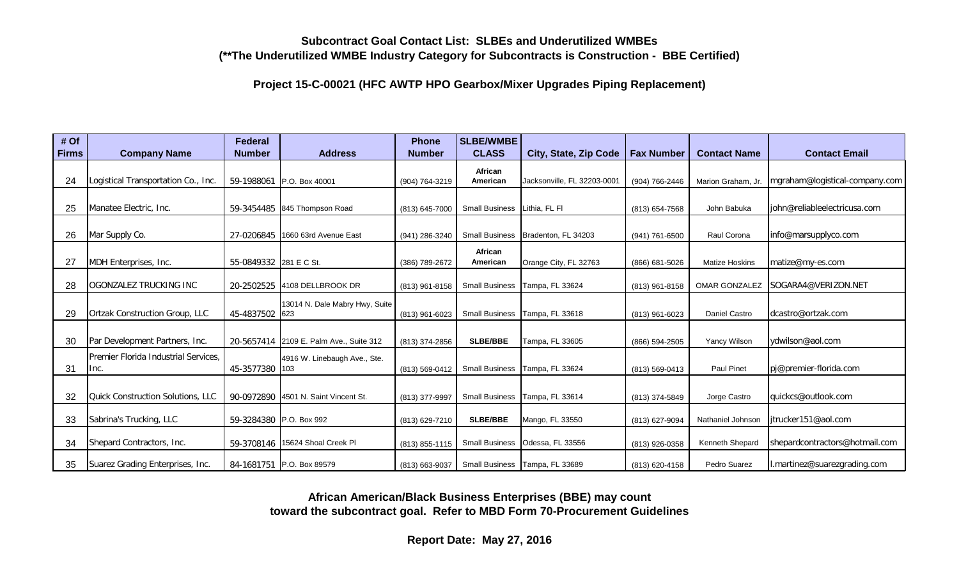**Project 15-C-00021 (HFC AWTP HPO Gearbox/Mixer Upgrades Piping Replacement)**

| # Of         |                                          | <b>Federal</b>         |                                         | <b>Phone</b>   | <b>SLBE/WMBE</b>      |                                  |                   |                       |                                |
|--------------|------------------------------------------|------------------------|-----------------------------------------|----------------|-----------------------|----------------------------------|-------------------|-----------------------|--------------------------------|
| <b>Firms</b> | <b>Company Name</b>                      | <b>Number</b>          | <b>Address</b>                          | <b>Number</b>  | <b>CLASS</b>          | City, State, Zip Code            | <b>Fax Number</b> | <b>Contact Name</b>   | <b>Contact Email</b>           |
|              |                                          |                        |                                         |                | African               |                                  |                   |                       |                                |
| 24           | Logistical Transportation Co., Inc.      |                        | 59-1988061   P.O. Box 40001             | (904) 764-3219 | American              | Jacksonville, FL 32203-0001      | (904) 766-2446    | Marion Graham, Jr.    | mgraham@logistical-company.com |
|              |                                          |                        |                                         |                |                       |                                  |                   |                       |                                |
| 25           | Manatee Electric, Inc.                   |                        | 59-3454485 845 Thompson Road            | (813) 645-7000 | <b>Small Business</b> | Lithia, FL FI                    | (813) 654-7568    | John Babuka           | john@reliableelectricusa.com   |
|              |                                          |                        |                                         |                |                       |                                  |                   |                       |                                |
| 26           | Mar Supply Co.                           |                        | 27-0206845   1660 63rd Avenue East      | (941) 286-3240 | <b>Small Business</b> | Bradenton, FL 34203              | (941) 761-6500    | Raul Corona           | info@marsupplyco.com           |
|              |                                          |                        |                                         |                | African               |                                  |                   |                       |                                |
| 27           | MDH Enterprises, Inc.                    | 55-0849332 281 E C St. |                                         | (386) 789-2672 | American              | Orange City, FL 32763            | (866) 681-5026    | <b>Matize Hoskins</b> | matize@my-es.com               |
|              |                                          |                        |                                         |                |                       |                                  |                   |                       |                                |
| 28           | lOGONZALEZ TRUCKING INC                  |                        | 20-2502525 4108 DELLBROOK DR            | (813) 961-8158 | <b>Small Business</b> | Tampa, FL 33624                  | (813) 961-8158    | <b>OMAR GONZALEZ</b>  | lSOGARA4@VERIZON.NET           |
|              |                                          |                        | 13014 N. Dale Mabry Hwy, Suite          |                |                       |                                  |                   |                       |                                |
| 29           | <b>Ortzak Construction Group, LLC</b>    | 45-4837502 623         |                                         | (813) 961-6023 | <b>Small Business</b> | Tampa, FL 33618                  | (813) 961-6023    | Daniel Castro         | ldcastro@ortzak.com            |
|              |                                          |                        |                                         |                |                       |                                  |                   |                       |                                |
| 30           | Par Development Partners, Inc.           |                        | 20-5657414 2109 E. Palm Ave., Suite 312 | (813) 374-2856 | <b>SLBE/BBE</b>       | Tampa, FL 33605                  | (866) 594-2505    | Yancy Wilson          | ydwilson@aol.com               |
|              | Premier Florida Industrial Services.     |                        | 4916 W. Linebaugh Ave., Ste.            |                |                       |                                  |                   |                       |                                |
| 31           | Inc.                                     | 45-3577380 103         |                                         | (813) 569-0412 | <b>Small Business</b> | Tampa, FL 33624                  | (813) 569-0413    | Paul Pinet            | pi@premier-florida.com         |
|              |                                          |                        |                                         |                |                       |                                  |                   |                       |                                |
| 32           | <b>Quick Construction Solutions, LLC</b> |                        | 90-0972890 4501 N. Saint Vincent St.    | (813) 377-9997 | <b>Small Business</b> | Tampa, FL 33614                  | (813) 374-5849    | Jorge Castro          | quickcs@outlook.com            |
|              |                                          |                        |                                         |                |                       |                                  |                   |                       |                                |
| 33           | Sabrina's Trucking, LLC                  |                        | 59-3284380 P.O. Box 992                 | (813) 629-7210 | <b>SLBE/BBE</b>       | Mango, FL 33550                  | (813) 627-9094    | Nathaniel Johnson     | litrucker151@aol.com           |
| 34           | Shepard Contractors, Inc.                |                        | 59-3708146   15624 Shoal Creek Pl       | (813) 855-1115 | <b>Small Business</b> | Odessa, FL 33556                 | (813) 926-0358    | Kenneth Shepard       | shepardcontractors@hotmail.com |
|              |                                          |                        |                                         |                |                       |                                  |                   |                       |                                |
| 35           | Suarez Grading Enterprises, Inc.         |                        | 84-1681751 P.O. Box 89579               | (813) 663-9037 |                       | Small Business   Tampa, FL 33689 | (813) 620-4158    | Pedro Suarez          | l.martinez@suarezgrading.com   |

**African American/Black Business Enterprises (BBE) may count toward the subcontract goal. Refer to MBD Form 70-Procurement Guidelines**